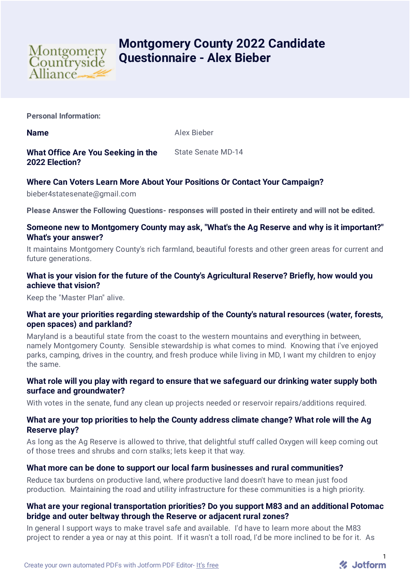

# **Montgomery County 2022 Candidate Questionnaire - Alex Bieber**

**Personal Information:**

**Name** Alex Bieber

**What Office Are You Seeking in the 2022 Election?** State Senate MD-14

## **Where Can Voters Learn More About Your Positions Or Contact Your Campaign?**

bieber4statesenate@gmail.com

**Please Answer the Following Questions- responses will posted in their entirety and will not be edited.**

#### **Someone new to Montgomery County may ask, "What's the Ag Reserve and why is it important?" What's your answer?**

It maintains Montgomery County's rich farmland, beautiful forests and other green areas for current and future generations.

## **What is your vision for the future of the County's Agricultural Reserve? Briefly, how would you achieve that vision?**

Keep the "Master Plan" alive.

#### **What are your priorities regarding stewardship of the County's natural resources (water, forests, open spaces) and parkland?**

Maryland is a beautiful state from the coast to the western mountains and everything in between, namely Montgomery County. Sensible stewardship is what comes to mind. Knowing that i've enjoyed parks, camping, drives in the country, and fresh produce while living in MD, I want my children to enjoy the same.

## **What role will you play with regard to ensure that we safeguard our drinking water supply both surface and groundwater?**

With votes in the senate, fund any clean up projects needed or reservoir repairs/additions required.

#### **What are your top priorities to help the County address climate change? What role will the Ag Reserve play?**

As long as the Ag Reserve is allowed to thrive, that delightful stuff called Oxygen will keep coming out of those trees and shrubs and corn stalks; lets keep it that way.

#### **What more can be done to support our local farm businesses and rural communities?**

Reduce tax burdens on productive land, where productive land doesn't have to mean just food production. Maintaining the road and utility infrastructure for these communities is a high priority.

## **What are your regional transportation priorities? Do you support M83 and an additional Potomac bridge and outer beltway through the Reserve or adjacent rural zones?**

In general I support ways to make travel safe and available. I'd have to learn more about the M83 project to render a yea or nay at this point. If it wasn't a toll road, I'd be more inclined to be for it. As